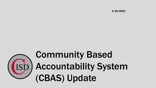4/25/2022



# Community Based Accountability System (CBAS) Update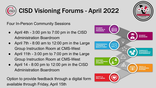

### CISD Visioning Forums - April 2022

Four In-Person Community Sessions

- April 4th 3:00 pm to  $7:00$  pm in the CISD Administration Boardroom
- April 7th 8:00 am to 12:00 pm in the Large Group Instruction Room at CMS-West
- April 11th 3:00 pm to 7:00 pm in the Large Group Instruction Room at CMS-West
- April 14 8:00 pm to 12:00 pm in the CISD Administration Boardroom

Option to provide feedback through a digital form available through Friday, April 15th

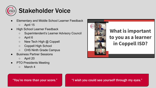

- Elementary and Middle School Learner Feedback
	- April 15
- High School Learner Feedback
	- Superintendent's Learner Advisory Council
	- April 6
	- $\circ$  New Tech High  $\omega$  Coppell
	- Coppell High School
	- CHS Ninth Grade Campus
- **Business Partner Sessions** 
	- April 20
- PTO Presidents Meeting
	- March 4



#### **What is important** to you as a learner in Coppell ISD?

"You're more than your score." "I wish you could see yourself through my eyes."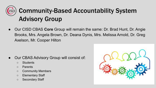### Community-Based Accountability System Advisory Group

Our CISD CBAS **Core** Group will remain the same: Dr. Brad Hunt, Dr. Angie Brooks, Mrs. Angela Brown, Dr. Deana Dynis, Mrs. Melissa Arnold, Dr. Greg Axelson, Mr. Cooper Hilton

- Our CBAS Advisory Group will consist of:
	- Students
	- Parents
	- Community Members
	- Elementary Staff
	- Secondary Staff

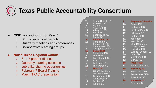## Texas Public Accountability Consortium

#### **● CISD is continuing for Year 5**

- 50+ Texas school districts
- Quarterly meetings and conferences
- Collaborative learning groups

#### **● North Texas Regional Cohort**

- $\circ$  6  $\rightarrow$  7 partner districts
- Quarterly learning sessions
- Job-alike sharing opportunities
- February 7 Board Training
- March TPAC presentation

| 20                                     | Alamo Heights ISD                             | 11             |
|----------------------------------------|-----------------------------------------------|----------------|
| $\frac{11}{4}$<br>$\frac{4}{16}$       | <u>Alvarado ISD</u><br><b>Alvin ISD</b>       | 10             |
|                                        | Amarillo ISD                                  | $\overline{1}$ |
|                                        | <b>Arlington ISD</b>                          | 10             |
|                                        | <b>Austin ISD</b>                             | 12             |
| $11$<br>$13$<br>$12$<br>$15$<br>9      | <b>Bosqueville ISD</b>                        | $\overline{4}$ |
|                                        | <b>Brady ISD</b>                              | 11             |
|                                        | <b>Burkburnett ISD</b><br><b>Canadian ISD</b> | 20             |
|                                        | <b>Chapel Hill ISD</b>                        | 11             |
|                                        | Clear Creek ISD                               | 11             |
| $168$<br>$46$<br>$10$                  | <b>College Station ISD</b>                    | 13             |
|                                        | <b>Coppell ISD</b>                            | 17             |
| $\begin{array}{c} 12 \\ 8 \end{array}$ | Corsicana ISD<br>DeKalb ISD                   | 20             |
| 20                                     | <b>East Central ISD</b>                       | 10             |
| 13                                     | Elgin ISD                                     | 12             |
| $\overline{4}$                         | Fort Bend ISD                                 | 10             |
| 11                                     | Fort Worth ISD                                | 14             |
| 10                                     | <b>Frisco ISD</b>                             | 10             |
| $\overline{4}$                         | Galena Park ISD                               | 15             |
| $\overline{4}$                         | <b>Galveston ISD</b>                          | 13             |
| 13                                     | Georgetown ISD                                | 6              |
| $\overline{7}$                         | <b>Gladewater ISD</b>                         | 10             |
| 11                                     | <b>Godley ISD</b>                             | $\overline{2}$ |
| 3                                      | <b>Goliad ISD</b>                             |                |

- Grapevine-Colleyville
- Gunter ISD
- **Harlingen ISD**
- **Highland Park ISD**
- **Hillsboro ISD**
- 4 Huffman ISD
- Keller ISD
- Kerrville ISD
- Lake Dallas ISD
- Lewisville ISD
- Lexington ISD
- Lubbock-Cooper ISD
- Lytle ISD
- **Midlothian ISD**
- **Midway ISD**
- **Prosper ISD**
- Roscoe-Collegiate
- Royse City ISD
- San Angelo ISD
- San Marcos CISD
- Splendora ISD
- Sunnyvale ISD
- Yorktown ISD